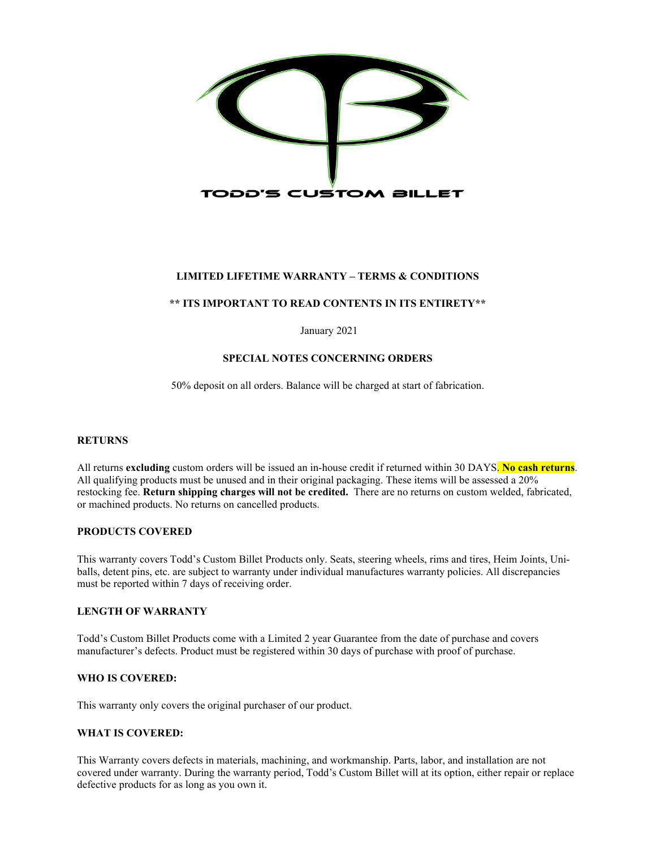

## **LIMITED LIFETIME WARRANTY – TERMS & CONDITIONS**

### **\*\* ITS IMPORTANT TO READ CONTENTS IN ITS ENTIRETY\*\***

January 2021

### **SPECIAL NOTES CONCERNING ORDERS**

50% deposit on all orders. Balance will be charged at start of fabrication.

#### **RETURNS**

All returns **excluding** custom orders will be issued an in-house credit if returned within 30 DAYS. **No cash returns**. All qualifying products must be unused and in their original packaging. These items will be assessed a 20% restocking fee. **Return shipping charges will not be credited.** There are no returns on custom welded, fabricated, or machined products. No returns on cancelled products.

#### **PRODUCTS COVERED**

This warranty covers Todd's Custom Billet Products only. Seats, steering wheels, rims and tires, Heim Joints, Uniballs, detent pins, etc. are subject to warranty under individual manufactures warranty policies. All discrepancies must be reported within 7 days of receiving order.

#### **LENGTH OF WARRANTY**

Todd's Custom Billet Products come with a Limited 2 year Guarantee from the date of purchase and covers manufacturer's defects. Product must be registered within 30 days of purchase with proof of purchase.

## **WHO IS COVERED:**

This warranty only covers the original purchaser of our product.

#### **WHAT IS COVERED:**

This Warranty covers defects in materials, machining, and workmanship. Parts, labor, and installation are not covered under warranty. During the warranty period, Todd's Custom Billet will at its option, either repair or replace defective products for as long as you own it.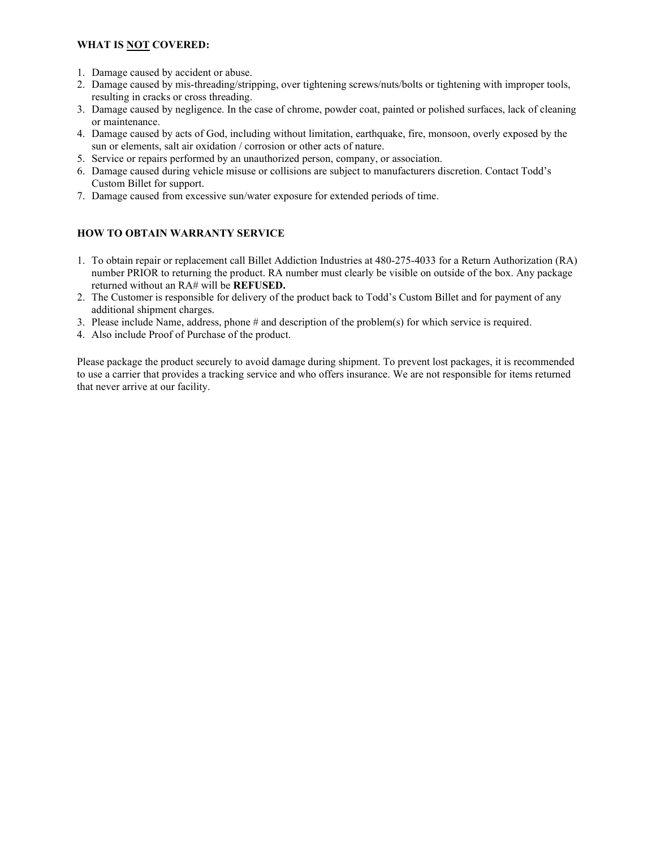## **WHAT IS NOT COVERED:**

- 1. Damage caused by accident or abuse.
- 2. Damage caused by mis-threading/stripping, over tightening screws/nuts/bolts or tightening with improper tools, resulting in cracks or cross threading.
- 3. Damage caused by negligence. In the case of chrome, powder coat, painted or polished surfaces, lack of cleaning or maintenance.
- 4. Damage caused by acts of God, including without limitation, earthquake, fire, monsoon, overly exposed by the sun or elements, salt air oxidation / corrosion or other acts of nature.
- 5. Service or repairs performed by an unauthorized person, company, or association.
- 6. Damage caused during vehicle misuse or collisions are subject to manufacturers discretion. Contact Todd's Custom Billet for support.
- 7. Damage caused from excessive sun/water exposure for extended periods of time.

## **HOW TO OBTAIN WARRANTY SERVICE**

- 1. To obtain repair or replacement call Billet Addiction Industries at 480-275-4033 for a Return Authorization (RA) number PRIOR to returning the product. RA number must clearly be visible on outside of the box. Any package returned without an RA# will be **REFUSED.**
- 2. The Customer is responsible for delivery of the product back to Todd's Custom Billet and for payment of any additional shipment charges.
- 3. Please include Name, address, phone # and description of the problem(s) for which service is required.
- 4. Also include Proof of Purchase of the product.

Please package the product securely to avoid damage during shipment. To prevent lost packages, it is recommended to use a carrier that provides a tracking service and who offers insurance. We are not responsible for items returned that never arrive at our facility.